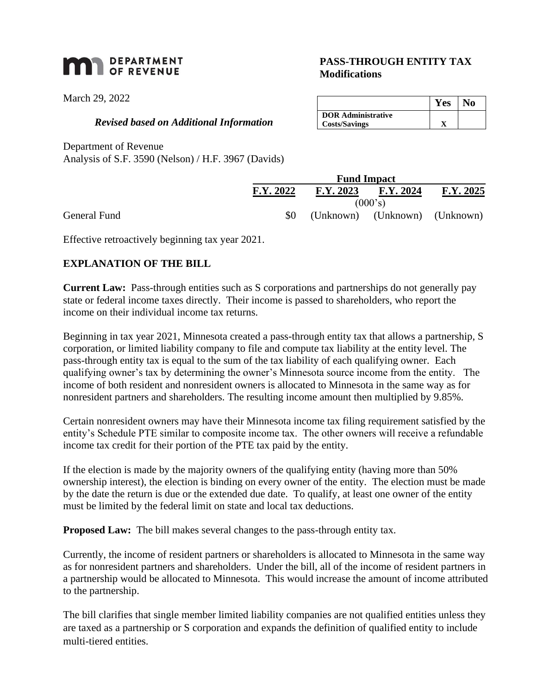# **MAN** DEPARTMENT

March 29, 2022

#### *Revised based on Additional Information*

Department of Revenue

Analysis of S.F. 3590 (Nelson) / H.F. 3967 (Davids)

|              |           | <b>Fund Impact</b> |                               |           |  |
|--------------|-----------|--------------------|-------------------------------|-----------|--|
|              | F.Y. 2022 | F.Y. 2023          | F.Y. 2024                     | F.Y. 2025 |  |
|              | (000's)   |                    |                               |           |  |
| General Fund |           |                    | (Unknown) (Unknown) (Unknown) |           |  |

Effective retroactively beginning tax year 2021.

## **EXPLANATION OF THE BILL**

**Current Law:** Pass-through entities such as S corporations and partnerships do not generally pay state or federal income taxes directly. Their income is passed to shareholders, who report the income on their individual income tax returns.

Beginning in tax year 2021, Minnesota created a pass-through entity tax that allows a partnership, S corporation, or limited liability company to file and compute tax liability at the entity level. The pass-through entity tax is equal to the sum of the tax liability of each qualifying owner. Each qualifying owner's tax by determining the owner's Minnesota source income from the entity. The income of both resident and nonresident owners is allocated to Minnesota in the same way as for nonresident partners and shareholders. The resulting income amount then multiplied by 9.85%.

Certain nonresident owners may have their Minnesota income tax filing requirement satisfied by the entity's Schedule PTE similar to composite income tax. The other owners will receive a refundable income tax credit for their portion of the PTE tax paid by the entity.

If the election is made by the majority owners of the qualifying entity (having more than 50% ownership interest), the election is binding on every owner of the entity. The election must be made by the date the return is due or the extended due date. To qualify, at least one owner of the entity must be limited by the federal limit on state and local tax deductions.

**Proposed Law:** The bill makes several changes to the pass-through entity tax.

Currently, the income of resident partners or shareholders is allocated to Minnesota in the same way as for nonresident partners and shareholders. Under the bill, all of the income of resident partners in a partnership would be allocated to Minnesota. This would increase the amount of income attributed to the partnership.

The bill clarifies that single member limited liability companies are not qualified entities unless they are taxed as a partnership or S corporation and expands the definition of qualified entity to include multi-tiered entities.

## **PASS-THROUGH ENTITY TAX Modifications**

|                           | Y es | lo |
|---------------------------|------|----|
| <b>DOR Administrative</b> |      |    |
| <b>Costs/Savings</b>      |      |    |